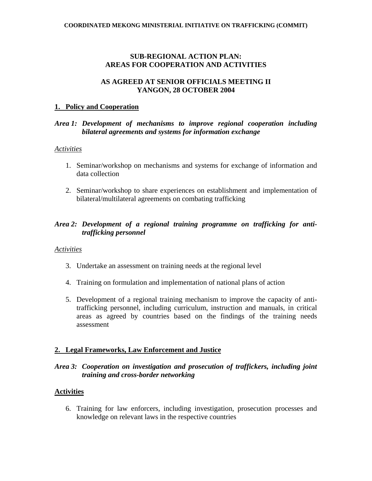# **SUB-REGIONAL ACTION PLAN: AREAS FOR COOPERATION AND ACTIVITIES**

## **AS AGREED AT SENIOR OFFICIALS MEETING II YANGON, 28 OCTOBER 2004**

## **1. Policy and Cooperation**

# *Area 1: Development of mechanisms to improve regional cooperation including bilateral agreements and systems for information exchange*

#### *Activities*

- 1. Seminar/workshop on mechanisms and systems for exchange of information and data collection
- 2. Seminar/workshop to share experiences on establishment and implementation of bilateral/multilateral agreements on combating trafficking

# *Area 2: Development of a regional training programme on trafficking for antitrafficking personnel*

#### *Activities*

- 3. Undertake an assessment on training needs at the regional level
- 4. Training on formulation and implementation of national plans of action
- 5. Development of a regional training mechanism to improve the capacity of antitrafficking personnel, including curriculum, instruction and manuals, in critical areas as agreed by countries based on the findings of the training needs assessment

#### **2. Legal Frameworks, Law Enforcement and Justice**

# *Area 3: Cooperation on investigation and prosecution of traffickers, including joint training and cross-border networking*

#### **Activities**

6. Training for law enforcers, including investigation, prosecution processes and knowledge on relevant laws in the respective countries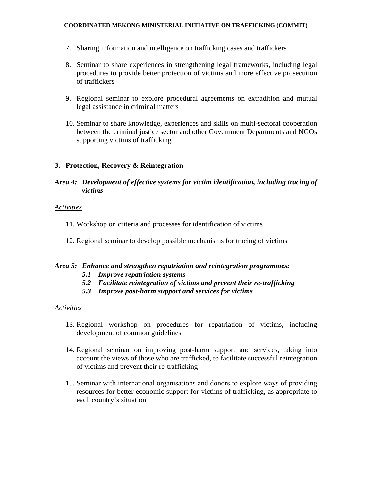#### **COORDINATED MEKONG MINISTERIAL INITIATIVE ON TRAFFICKING (COMMIT)**

- 7. Sharing information and intelligence on trafficking cases and traffickers
- 8. Seminar to share experiences in strengthening legal frameworks, including legal procedures to provide better protection of victims and more effective prosecution of traffickers
- 9. Regional seminar to explore procedural agreements on extradition and mutual legal assistance in criminal matters
- 10. Seminar to share knowledge, experiences and skills on multi-sectoral cooperation between the criminal justice sector and other Government Departments and NGOs supporting victims of trafficking

# **3. Protection, Recovery & Reintegration**

# *Area 4: Development of effective systems for victim identification, including tracing of victims*

## *Activities*

- 11. Workshop on criteria and processes for identification of victims
- 12. Regional seminar to develop possible mechanisms for tracing of victims

#### *Area 5: Enhance and strengthen repatriation and reintegration programmes:*

- *5.1 Improve repatriation systems*
- *5.2 Facilitate reintegration of victims and prevent their re-trafficking*
- *5.3 Improve post-harm support and services for victims*

#### *Activities*

- 13. Regional workshop on procedures for repatriation of victims, including development of common guidelines
- 14. Regional seminar on improving post-harm support and services, taking into account the views of those who are trafficked, to facilitate successful reintegration of victims and prevent their re-trafficking
- 15. Seminar with international organisations and donors to explore ways of providing resources for better economic support for victims of trafficking, as appropriate to each country's situation